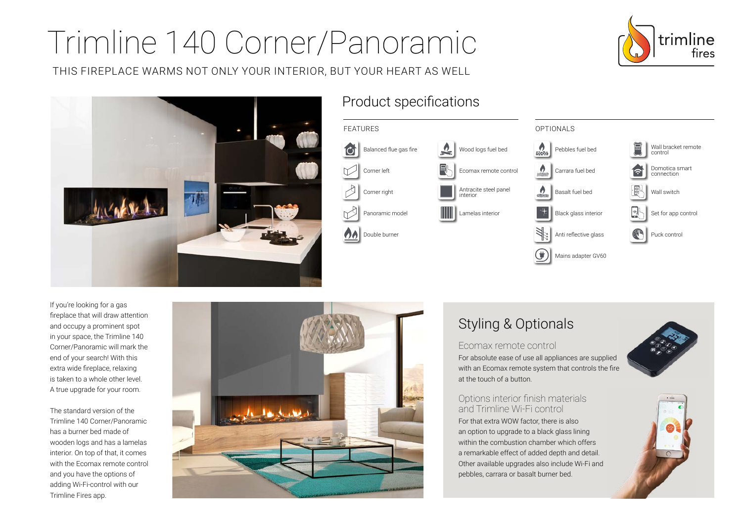# Trimline 140 Corner/Panoramic

THIS FIREPLACE WARMS NOT ONLY YOUR INTERIOR, BUT YOUR HEART AS WELL





## Product specifications



If you're looking for a gas fireplace that will draw attention and occupy a prominent spot in your space, the Trimline 140 Corner/Panoramic will mark the end of your search! With this extra wide fireplace, relaxing is taken to a whole other level. A true upgrade for your room.

The standard version of the Trimline 140 Corner/Panoramic has a burner bed made of wooden logs and has a lamelas interior. On top of that, it comes with the Ecomax remote control and you have the options of adding Wi-Fi-control with our Trimline Fires app.



# Styling & Optionals

#### Ecomax remote control

For absolute ease of use all appliances are supplied with an Ecomax remote system that controls the fire at the touch of a button.

#### Options interior finish materials and Trimline Wi-Fi control

For that extra WOW factor, there is also an option to upgrade to a black glass lining within the combustion chamber which offers a remarkable effect of added depth and detail. Other available upgrades also include Wi-Fi and pebbles, carrara or basalt burner bed.